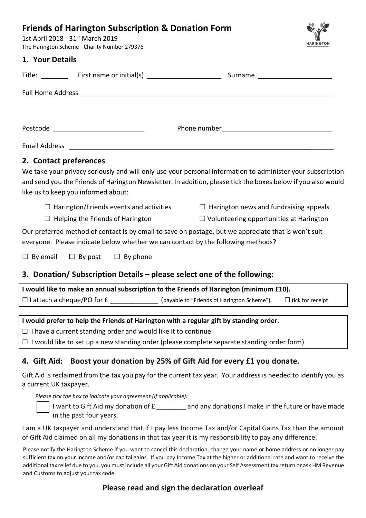# **Friends of Harington Subscription & Donation Form**

1st April 2018 - 31<sup>st</sup> March 2019 The Harington Scheme - Charity Number 279376

#### **1. Your Details**

| L. IVUI PULUIIJ                         |                                |  |
|-----------------------------------------|--------------------------------|--|
|                                         | Surname ______________________ |  |
|                                         |                                |  |
|                                         |                                |  |
| Postcode ______________________________ |                                |  |
|                                         |                                |  |
|                                         |                                |  |

**HARINGTON** 

# **2. Contact preferences**

We take your privacy seriously and will only use your personal information to administer your subscription and send you the Friends of Harington Newsletter. In addition, please tick the boxes below if you also would like us to keep you informed about:

 $□$  Harington/Friends events and activities  $□$  Harington news and fundraising appeals

 $\Box$  Helping the Friends of Harington  $\Box$  Volunteering opportunities at Harington

Our preferred method of contact is by email to save on postage, but we appreciate that is won't suit everyone. Please indicate below whether we can contact by the following methods?

 $\Box$  By email  $\Box$  By post  $\Box$  By phone

# **3. Donation/ Subscription Details – please select one of the following:**

| I would like to make an annual subscription to the Friends of Harington (minimum £10). |                                             |                         |
|----------------------------------------------------------------------------------------|---------------------------------------------|-------------------------|
| $\Box$ I attach a cheque/PO for £                                                      | (payable to "Friends of Harington Scheme"). | $\Box$ tick for receipt |

#### **I would prefer to help the Friends of Harington with a regular gift by standing order.**

 $\Box$  I have a current standing order and would like it to continue

 $\Box$  I would like to set up a new standing order (please complete separate standing order form)

# **4. Gift Aid: Boost your donation by 25% of Gift Aid for every £1 you donate.**

Gift Aid is reclaimed from the tax you pay for the current tax year. Your address is needed to identify you as a current UK taxpayer.

*Please tick the box to indicate your agreement (if applicable):*

I want to Gift Aid my donation of  $E_1$  and any donations I make in the future or have made in the past four years.

I am a UK taxpayer and understand that if I pay less Income Tax and/or Capital Gains Tax than the amount of Gift Aid claimed on all my donations in that tax year it is my responsibility to pay any difference.

Please notify the Harington Scheme if you want to cancel this declaration, change your name or home address or no longer pay sufficient tax on your income and/or capital gains. If you pay Income Tax at the higher or additional rate and want to receive the additional tax relief due to you, you must include all your Gift Aid donations on your Self Assessment tax return or ask HM Revenue and Customs to adjust your tax code.

# **Please read and sign the declaration overleaf**